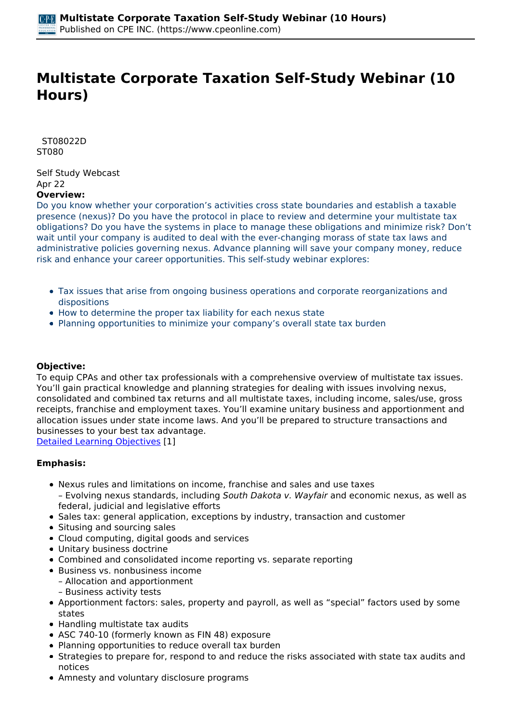# **Multistate Corporate Taxation Self-Study Webinar (10 Hours)**

 *ST08022D ST080* 

*Self Study Webcast Apr 22*  **Overview:** 

*Do you know whether your corporation's activities cross state boundaries and establish a taxable presence (nexus)? Do you have the protocol in place to review and determine your multistate tax obligations? Do you have the systems in place to manage these obligations and minimize risk? Don't wait until your company is audited to deal with the ever-changing morass of state tax laws and administrative policies governing nexus. Advance planning will save your company money, reduce risk and enhance your career opportunities. This self-study webinar explores:*

- *Tax issues that arise from ongoing business operations and corporate reorganizations and dispositions*
- *How to determine the proper tax liability for each nexus state*
- *Planning opportunities to minimize your company's overall state tax burden*

### **Objective:**

*To equip CPAs and other tax professionals with a comprehensive overview of multistate tax issues. You'll gain practical knowledge and planning strategies for dealing with issues involving nexus, consolidated and combined tax returns and all multistate taxes, including income, sales/use, gross receipts, franchise and employment taxes. You'll examine unitary business and apportionment and allocation issues under state income laws. And you'll be prepared to structure transactions and businesses to your best tax advantage.*

*[Detailed Learning Objectives](https://www.cpeonline.com/JavaScript:showObjectivesPopup();) [1]*

#### **Emphasis:**

- *Nexus rules and limitations on income, franchise and sales and use taxes – Evolving nexus standards, including South Dakota v. Wayfair and economic nexus, as well as federal, judicial and legislative efforts*
- *Sales tax: general application, exceptions by industry, transaction and customer*
- *Situsing and sourcing sales*
- *Cloud computing, digital goods and services*
- *Unitary business doctrine*
- *Combined and consolidated income reporting vs. separate reporting*
- *Business vs. nonbusiness income*
	- *Allocation and apportionment – Business activity tests*
- *Apportionment factors: sales, property and payroll, as well as "special" factors used by some states*
- *Handling multistate tax audits*
- *ASC 740-10 (formerly known as FIN 48) exposure*
- *Planning opportunities to reduce overall tax burden*
- *Strategies to prepare for, respond to and reduce the risks associated with state tax audits and notices*
- *Amnesty and voluntary disclosure programs*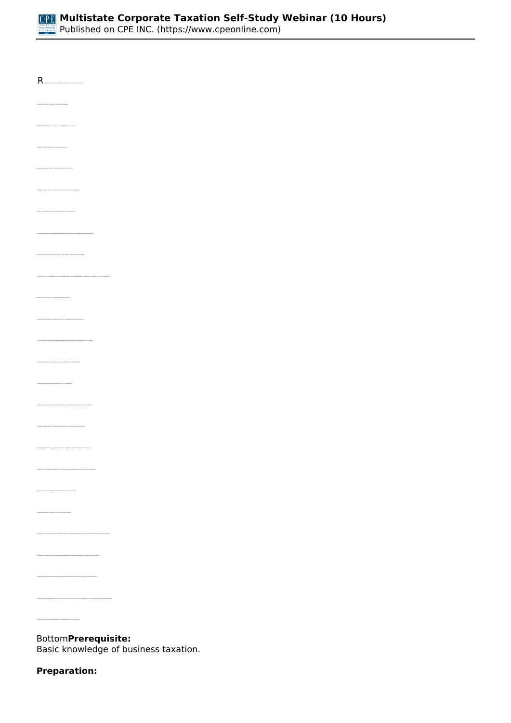

*• Recognize the current status of states' ability to tax multistate businesses • Identify the states' relative use of a state sales/use tax • Recognize the states' relative use of state individual income taxes • Identify the states' relative use of state corporate income/gross receipts taxes • Identify the authority by which a state legislature can enact a state tax • Recognize the court case denying nexus to a state under the negative commerce clause • Identify the court case establishing that the physical presence tests were applicable to sales and use taxes but not corporate income tax • Recognize states' position on economic nexus prior to Wayfair • Identify the post-Wayfair role of physical presence in establishing sales/use tax nexus • Identify the type of employment relationships that would generally create sales tax nexus for a company • Recognize the court case that directly led to the enactment of Public Law 86-272 • Identify the types of taxes that Public Law 86-272 is applicable to • Identify the court case that determined the type of in-state activity protected under Public Law 86-272 • Identify the extent to which the states' administration of the sales and use tax is uniform • Recognize the methodology used by most states to begin their calculation of state taxable income • Identify the court case giving validity to the unitary business principle in the context of state income taxation • Recognize the way in which the unitary business principle was developed • Recognize the factors behind the concept of a unitary business • Identify the court case that determined that gain from an investment function was not an operational function subject to apportionment • Recognize the court case that determined that worldwide combined reporting was not in violation of the constitution • Recognize the common ownership percentage used by states requiring combined returns for unitary businesses • Identify the types of businesses that are most likely to be found to be inherently integrated and thus not combined with other business lines • Identify the premises regarding business vs. nonbusiness income in the UDITPA* 

*Bottom***Prerequisite:** 

*Basic knowledge of business taxation.*

#### **Preparation:**